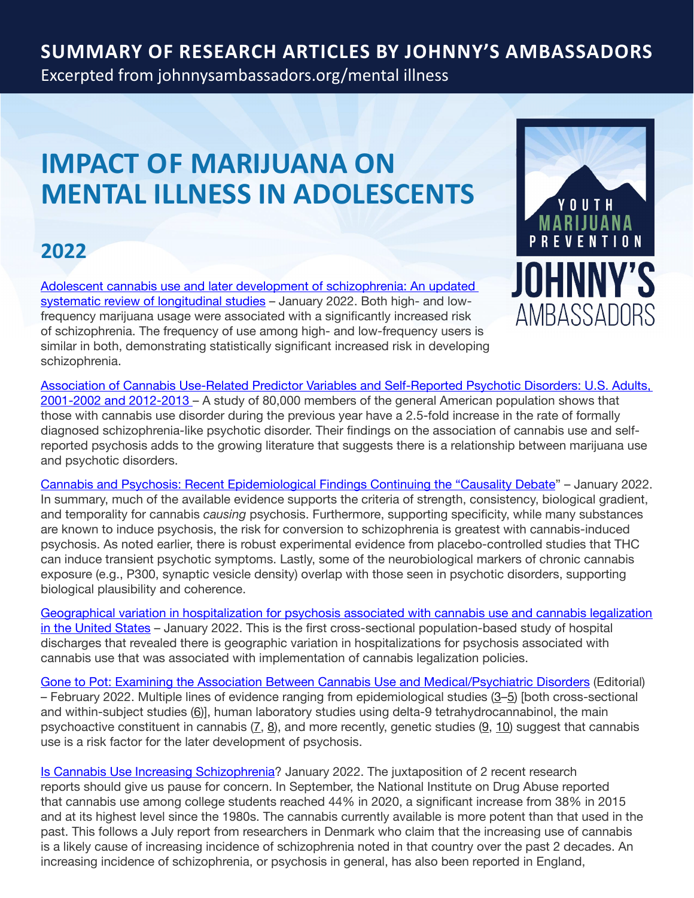#### **Summary of Research Articles by Johnny's Ambassadors**

Excerpted from [johnnysambassadors.org/m](johnnysambassadors.org/mental illness)ental illness

# **IMPACT OF MARIJUANA ON MENTAL ILLNESS IN ADOLESCENTS**

#### **2022**

[Adolescent cannabis use and later development of schizophrenia: An updated](https://pubmed.ncbi.nlm.nih.gov/35018649/)  [systematic review of longitudinal studies](https://pubmed.ncbi.nlm.nih.gov/35018649/) – January 2022. Both high- and lowfrequency marijuana usage were associated with a significantly increased risk of schizophrenia. The frequency of use among high- and low-frequency users is similar in both, demonstrating statistically significant increased risk in developing schizophrenia.



[Association of Cannabis Use-Related Predictor Variables and Self-Reported Psychotic Disorders: U.S. Adults,](https://pubmed.ncbi.nlm.nih.gov/34645275/)  [2001-2002 and 2012-2013](https://pubmed.ncbi.nlm.nih.gov/34645275/) – A study of 80,000 members of the general American population shows that those with cannabis use disorder during the previous year have a 2.5-fold increase in the rate of formally diagnosed schizophrenia-like psychotic disorder. Their findings on the association of cannabis use and selfreported psychosis adds to the growing literature that suggests there is a relationship between marijuana use and psychotic disorders.

[Cannabis and Psychosis: Recent Epidemiological Findings Continuing the "Causality Debate](https://ajp.psychiatryonline.org/doi/10.1176/appi.ajp.2021.21111126)" – January 2022. In summary, much of the available evidence supports the criteria of strength, consistency, biological gradient, and temporality for cannabis *causing* psychosis. Furthermore, supporting specificity, while many substances are known to induce psychosis, the risk for conversion to schizophrenia is greatest with cannabis-induced psychosis. As noted earlier, there is robust experimental evidence from placebo-controlled studies that THC can induce transient psychotic symptoms. Lastly, some of the neurobiological markers of chronic cannabis exposure (e.g., P300, synaptic vesicle density) overlap with those seen in psychotic disorders, supporting biological plausibility and coherence.

[Geographical variation in hospitalization for psychosis associated with cannabis use and cannabis legalization](https://johnnysambassadors.org/wp-content/uploads/2022/02/Moran-2022-Geographical-variation-in-hospitalization-for-psychosis-associated-with-cannabis-use-and-cannabis-legalization.pdf)  [in the United States](https://johnnysambassadors.org/wp-content/uploads/2022/02/Moran-2022-Geographical-variation-in-hospitalization-for-psychosis-associated-with-cannabis-use-and-cannabis-legalization.pdf) – January 2022. This is the first cross-sectional population-based study of hospital discharges that revealed there is geographic variation in hospitalizations for psychosis associated with cannabis use that was associated with implementation of cannabis legalization policies.

[Gone to Pot: Examining the Association Between Cannabis Use and Medical/Psychiatric Disorders](http://xn--multiple lines of evidence ranging from epidemiological studies %2835%29 [both cross-sectional and within-subject studies %286%29]%2C human laboratory studies using delta-9 tetrahydrocannabinol%2C the main psychoactive constituent in cannabis %287%2C 8%29%2C and more recently%2C genetic studies %289%2C 10%29 suggest that cannabis use is a risk factor for the later development of psychosis-oj743a./) (Editorial) – February 2022. Multiple lines of evidence ranging from epidemiological studies [\(3](https://www.frontiersin.org/articles/10.3389/fpsyt.2022.837757/full#B3)–[5\)](https://www.frontiersin.org/articles/10.3389/fpsyt.2022.837757/full#B5) [both cross-sectional and within-subject studies [\(6](https://www.frontiersin.org/articles/10.3389/fpsyt.2022.837757/full#B6))], human laboratory studies using delta-9 tetrahydrocannabinol, the main psychoactive constituent in cannabis  $(7, 8)$  $(7, 8)$  $(7, 8)$  $(7, 8)$  $(7, 8)$ , and more recently, genetic studies  $(9, 10)$  $(9, 10)$  $(9, 10)$  suggest that cannabis use is a risk factor for the later development of psychosis.

[Is Cannabis Use Increasing Schizophrenia?](https://www.psychiatrictimes.com/view/is-cannabis-use-increasing-schizophrenia) January 2022. The juxtaposition of 2 recent research reports should give us pause for concern. In September, the National Institute on Drug Abuse reported that cannabis use among college students reached 44% in 2020, a significant increase from 38% in 2015 and at its highest level since the 1980s. The cannabis currently available is more potent than that used in the past. This follows a July report from researchers in Denmark who claim that the increasing use of cannabis is a likely cause of increasing incidence of schizophrenia noted in that country over the past 2 decades. An increasing incidence of schizophrenia, or psychosis in general, has also been reported in England,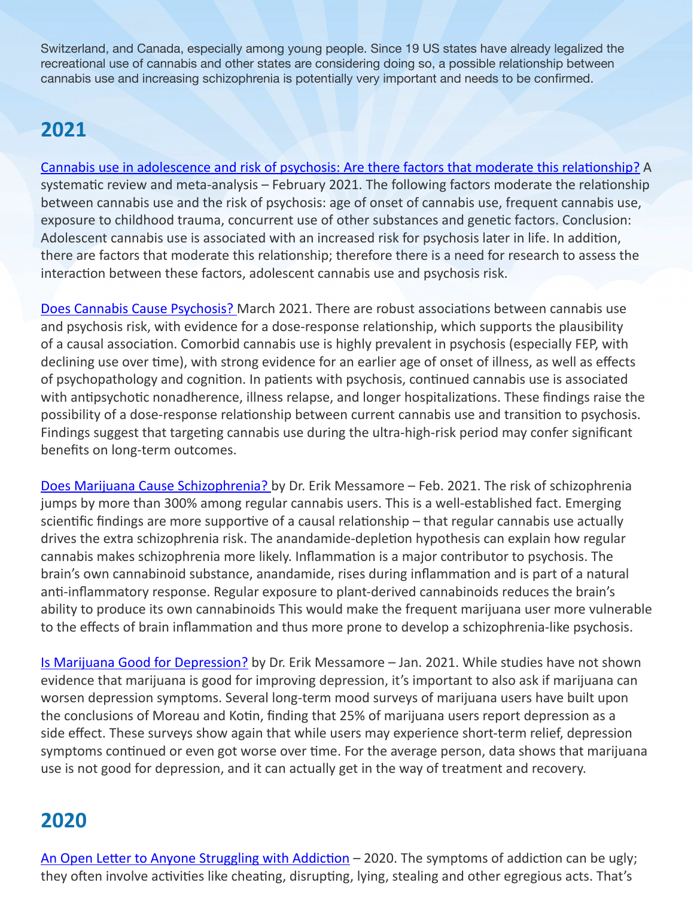Switzerland, and Canada, especially among young people. Since 19 US states have already legalized the recreational use of cannabis and other states are considering doing so, a possible relationship between cannabis use and increasing schizophrenia is potentially very important and needs to be confirmed.

### **2021**

[Cannabis use in adolescence and risk of psychosis: Are there factors that moderate this relationship?](https://pubmed.ncbi.nlm.nih.gov/33617756/) A systematic review and meta-analysis – February 2021. The following factors moderate the relationship between cannabis use and the risk of psychosis: age of onset of cannabis use, frequent cannabis use, exposure to childhood trauma, concurrent use of other substances and genetic factors. Conclusion: Adolescent cannabis use is associated with an increased risk for psychosis later in life. In addition, there are factors that moderate this relationship; therefore there is a need for research to assess the interaction between these factors, adolescent cannabis use and psychosis risk.

[Does Cannabis Cause Psychosis?](https://www.psychiatrictimes.com/view/cannabis-cause-psychosis) March 2021. There are robust associations between cannabis use and psychosis risk, with evidence for a dose-response relationship, which supports the plausibility of a causal association. Comorbid cannabis use is highly prevalent in psychosis (especially FEP, with declining use over time), with strong evidence for an earlier age of onset of illness, as well as effects of psychopathology and cognition. In patients with psychosis, continued cannabis use is associated with antipsychotic nonadherence, illness relapse, and longer hospitalizations. These findings raise the possibility of a dose-response relationship between current cannabis use and transition to psychosis. Findings suggest that targeting cannabis use during the ultra-high-risk period may confer significant benefits on long-term outcomes.

[Does Marijuana Cause Schizophrenia?](https://erikmessamore.com/does-marijuana-cause-schizophrenia/) by Dr. Erik Messamore – Feb. 2021. The risk of schizophrenia jumps by more than 300% among regular cannabis users. This is a well-established fact. Emerging scientific findings are more supportive of a causal relationship – that regular cannabis use actually drives the extra schizophrenia risk. The anandamide-depletion hypothesis can explain how regular cannabis makes schizophrenia more likely. Inflammation is a major contributor to psychosis. The brain's own cannabinoid substance, anandamide, rises during inflammation and is part of a natural anti-inflammatory response. Regular exposure to plant-derived cannabinoids reduces the brain's ability to produce its own cannabinoids This would make the frequent marijuana user more vulnerable to the effects of brain inflammation and thus more prone to develop a schizophrenia-like psychosis.

[Is Marijuana Good for Depression?](https://erikmessamore.com/marijuana-and-depression/) by Dr. Erik Messamore – Jan. 2021. While studies have not shown evidence that marijuana is good for improving depression, it's important to also ask if marijuana can worsen depression symptoms. Several long-term mood surveys of marijuana users have built upon the conclusions of Moreau and Kotin, finding that 25% of marijuana users report depression as a side effect. These surveys show again that while users may experience short-term relief, depression symptoms continued or even got worse over time. For the average person, data shows that marijuana use is not good for depression, and it can actually get in the way of treatment and recovery.

#### **2020**

[An Open Letter to Anyone Struggling with Addiction](https://geniusrecovery.org/open-letter/) – 2020. The symptoms of addiction can be ugly; they often involve activities like cheating, disrupting, lying, stealing and other egregious acts. That's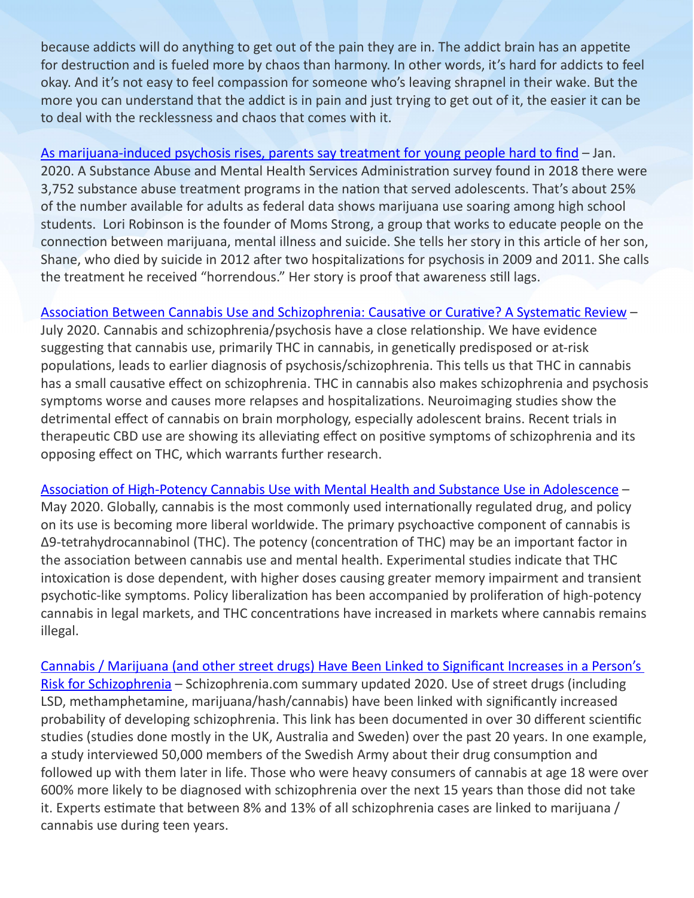because addicts will do anything to get out of the pain they are in. The addict brain has an appetite for destruction and is fueled more by chaos than harmony. In other words, it's hard for addicts to feel okay. And it's not easy to feel compassion for someone who's leaving shrapnel in their wake. But the more you can understand that the addict is in pain and just trying to get out of it, the easier it can be to deal with the recklessness and chaos that comes with it.

[As marijuana-induced psychosis rises, parents say treatment for young people hard to find](https://www.usatoday.com/story/news/health/2020/01/06/marijuana-induced-psychosis-rises-mental-health-treatment-elusive/2698446001/) – Jan. 2020. A Substance Abuse and Mental Health Services Administration survey found in 2018 there were 3,752 substance abuse treatment programs in the nation that served adolescents. That's about 25% of the number available for adults as federal data shows marijuana use soaring among high school students. Lori Robinson is the founder of Moms Strong, a group that works to educate people on the connection between marijuana, mental illness and suicide. She tells her story in this article of her son, Shane, who died by suicide in 2012 after two hospitalizations for psychosis in 2009 and 2011. She calls the treatment he received "horrendous." Her story is proof that awareness still lags.

[Association Between Cannabis Use and Schizophrenia: Causative or Curative? A Systematic Review](https://www.ncbi.nlm.nih.gov/pmc/articles/PMC7442038/) –

July 2020. Cannabis and schizophrenia/psychosis have a close relationship. We have evidence suggesting that cannabis use, primarily THC in cannabis, in genetically predisposed or at-risk populations, leads to earlier diagnosis of psychosis/schizophrenia. This tells us that THC in cannabis has a small causative effect on schizophrenia. THC in cannabis also makes schizophrenia and psychosis symptoms worse and causes more relapses and hospitalizations. Neuroimaging studies show the detrimental effect of cannabis on brain morphology, especially adolescent brains. Recent trials in therapeutic CBD use are showing its alleviating effect on positive symptoms of schizophrenia and its opposing effect on THC, which warrants further research.

[Association of High-Potency Cannabis Use with Mental Health and Substance Use in Adolescence](https://jamanetwork.com/journals/jamapsychiatry/fullarticle/2765973) – May 2020. Globally, cannabis is the most commonly used internationally regulated drug, and policy on its use is becoming more liberal worldwide. The primary psychoactive component of cannabis is Δ9-tetrahydrocannabinol (THC). The potency (concentration of THC) may be an important factor in the association between cannabis use and mental health. Experimental studies indicate that THC intoxication is dose dependent, with higher doses causing greater memory impairment and transient psychotic-like symptoms. Policy liberalization has been accompanied by proliferation of high-potency cannabis in legal markets, and THC concentrations have increased in markets where cannabis remains illegal.

[Cannabis / Marijuana \(and other street drugs\) Have Been Linked to Significant Increases in a Person's](http://www.schizophrenia.com/prevention/cannabis.marijuana.schizophrenia.html)  [Risk for Schizophrenia](http://www.schizophrenia.com/prevention/cannabis.marijuana.schizophrenia.html) - Schizophrenia.com summary updated 2020. Use of street drugs (including LSD, methamphetamine, marijuana/hash/cannabis) have been linked with significantly increased probability of developing schizophrenia. This link has been documented in over 30 different scientific studies (studies done mostly in the UK, Australia and Sweden) over the past 20 years. In one example, a study interviewed 50,000 members of the Swedish Army about their drug consumption and followed up with them later in life. Those who were heavy consumers of cannabis at age 18 were over 600% more likely to be diagnosed with schizophrenia over the next 15 years than those did not take it. Experts estimate that between 8% and 13% of all schizophrenia cases are linked to marijuana / cannabis use during teen years.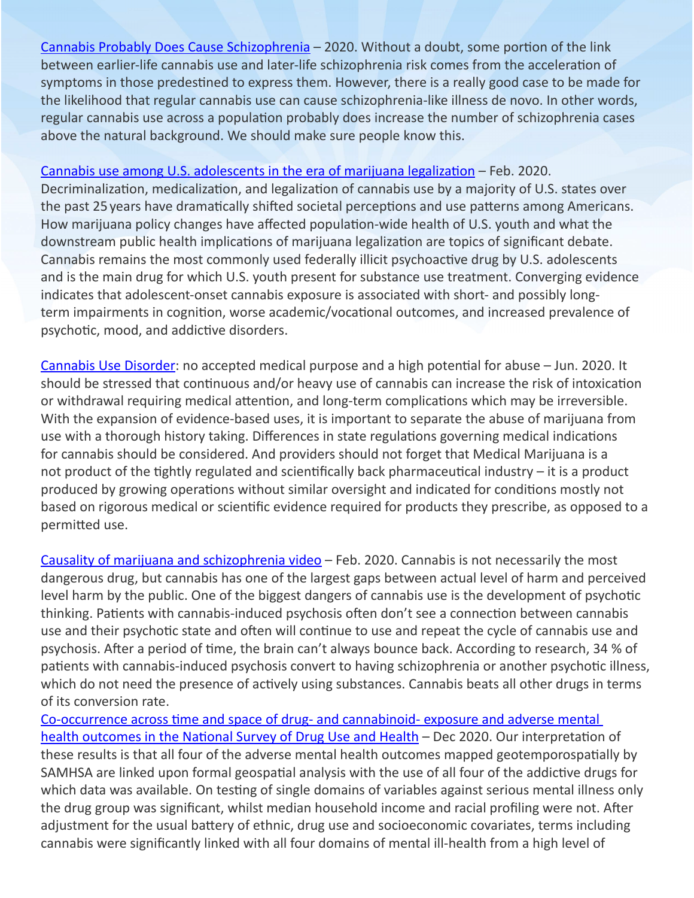[Cannabis Probably Does Cause Schizophrenia](https://erikmessamore.com/cannabis-probably-does-cause-schizophrenia/?fbclid=IwAR2iJqGrGSF_xLZfXW6aoqz9dyOUDkMSTTk1JpV1DIAtDFNl3nyuqI8JAOI) – 2020. Without a doubt, some portion of the link between earlier-life cannabis use and later-life schizophrenia risk comes from the acceleration of symptoms in those predestined to express them. However, there is a really good case to be made for the likelihood that regular cannabis use can cause schizophrenia-like illness de novo. In other words, regular cannabis use across a population probably does increase the number of schizophrenia cases above the natural background. We should make sure people know this.

[Cannabis use among U.S. adolescents in the era of marijuana legalization](https://www.tandfonline.com/doi/abs/10.1080/09540261.2020.1713056) – Feb. 2020.

Decriminalization, medicalization, and legalization of cannabis use by a majority of U.S. states over the past 25years have dramatically shifted societal perceptions and use patterns among Americans. How marijuana policy changes have affected population-wide health of U.S. youth and what the downstream public health implications of marijuana legalization are topics of significant debate. Cannabis remains the most commonly used federally illicit psychoactive drug by U.S. adolescents and is the main drug for which U.S. youth present for substance use treatment. Converging evidence indicates that adolescent-onset cannabis exposure is associated with short- and possibly longterm impairments in cognition, worse academic/vocational outcomes, and increased prevalence of psychotic, mood, and addictive disorders.

[Cannabis Use Disorder:](https://www.ncbi.nlm.nih.gov/books/NBK538131/) no accepted medical purpose and a high potential for abuse – Jun. 2020. It should be stressed that continuous and/or heavy use of cannabis can increase the risk of intoxication or withdrawal requiring medical attention, and long-term complications which may be irreversible. With the expansion of evidence-based uses, it is important to separate the abuse of marijuana from use with a thorough history taking. Differences in state regulations governing medical indications for cannabis should be considered. And providers should not forget that Medical Marijuana is a not product of the tightly regulated and scientifically back pharmaceutical industry – it is a product produced by growing operations without similar oversight and indicated for conditions mostly not based on rigorous medical or scientific evidence required for products they prescribe, as opposed to a permitted use.

[Causality of marijuana and schizophrenia video](https://www.youtube.com/watch?v=GiWkBvPBdyc#action=share) – Feb. 2020. Cannabis is not necessarily the most dangerous drug, but cannabis has one of the largest gaps between actual level of harm and perceived level harm by the public. One of the biggest dangers of cannabis use is the development of psychotic thinking. Patients with cannabis-induced psychosis often don't see a connection between cannabis use and their psychotic state and often will continue to use and repeat the cycle of cannabis use and psychosis. After a period of time, the brain can't always bounce back. According to research, 34 % of patients with cannabis-induced psychosis convert to having schizophrenia or another psychotic illness, which do not need the presence of actively using substances. Cannabis beats all other drugs in terms of its conversion rate.

[Co-occurrence across time and space of drug- and cannabinoid- exposure and adverse mental](https://bmcpublichealth.biomedcentral.com/articles/10.1186/s12889-020-09748-5#Sec14)  [health outcomes in the National Survey of Drug Use and Health](https://bmcpublichealth.biomedcentral.com/articles/10.1186/s12889-020-09748-5#Sec14) - Dec 2020. Our interpretation of these results is that all four of the adverse mental health outcomes mapped geotemporospatially by SAMHSA are linked upon formal geospatial analysis with the use of all four of the addictive drugs for which data was available. On testing of single domains of variables against serious mental illness only the drug group was significant, whilst median household income and racial profiling were not. After adjustment for the usual battery of ethnic, drug use and socioeconomic covariates, terms including cannabis were significantly linked with all four domains of mental ill-health from a high level of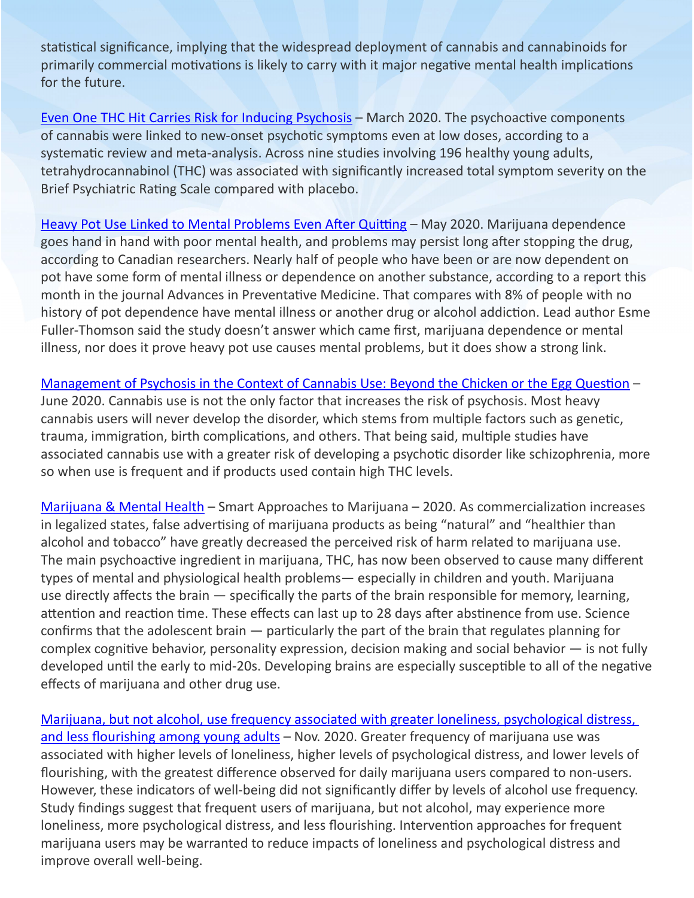statistical significance, implying that the widespread deployment of cannabis and cannabinoids for primarily commercial motivations is likely to carry with it major negative mental health implications for the future.

[Even One THC Hit Carries Risk for Inducing Psychosis](https://www.medpagetoday.com/psychiatry/generalpsychiatry/85472) – March 2020. The psychoactive components of cannabis were linked to new-onset psychotic symptoms even at low doses, according to a systematic review and meta-analysis. Across nine studies involving 196 healthy young adults, tetrahydrocannabinol (THC) was associated with significantly increased total symptom severity on the Brief Psychiatric Rating Scale compared with placebo.

[Heavy Pot Use Linked to Mental Problems Even After Quitting](https://www.newsmax.com/t/newsmax/article/965599) - May 2020. Marijuana dependence goes hand in hand with poor mental health, and problems may persist long after stopping the drug, according to Canadian researchers. Nearly half of people who have been or are now dependent on pot have some form of mental illness or dependence on another substance, according to a report this month in the journal Advances in Preventative Medicine. That compares with 8% of people with no history of pot dependence have mental illness or another drug or alcohol addiction. Lead author Esme Fuller-Thomson said the study doesn't answer which came first, marijuana dependence or mental illness, nor does it prove heavy pot use causes mental problems, but it does show a strong link.

[Management of Psychosis in the Context of Cannabis Use: Beyond the Chicken or the Egg Question](https://academic.oup.com/pch/article/25/Supplement_1/S5/5857589) – June 2020. Cannabis use is not the only factor that increases the risk of psychosis. Most heavy cannabis users will never develop the disorder, which stems from multiple factors such as genetic, trauma, immigration, birth complications, and others. That being said, multiple studies have associated cannabis use with a greater risk of developing a psychotic disorder like schizophrenia, more so when use is frequent and if products used contain high THC levels.

[Marijuana & Mental Health](https://learnaboutsam.org/the-issues/marijuana-mental-health/) – Smart Approaches to Marijuana – 2020. As commercialization increases in legalized states, false advertising of marijuana products as being "natural" and "healthier than alcohol and tobacco" have greatly decreased the perceived risk of harm related to marijuana use. The main psychoactive ingredient in marijuana, THC, has now been observed to cause many different types of mental and physiological health problems— especially in children and youth. Marijuana use directly affects the brain — specifically the parts of the brain responsible for memory, learning, attention and reaction time. These effects can last up to 28 days after abstinence from use. Science confirms that the adolescent brain — particularly the part of the brain that regulates planning for complex cognitive behavior, personality expression, decision making and social behavior — is not fully developed until the early to mid-20s. Developing brains are especially susceptible to all of the negative effects of marijuana and other drug use.

[Marijuana, but not alcohol, use frequency associated with greater loneliness, psychological distress,](https://pubmed.ncbi.nlm.nih.gov/33250378/)  [and less flourishing among young adult](https://pubmed.ncbi.nlm.nih.gov/33250378/)s - Nov. 2020. Greater frequency of marijuana use was associated with higher levels of loneliness, higher levels of psychological distress, and lower levels of flourishing, with the greatest difference observed for daily marijuana users compared to non-users. However, these indicators of well-being did not significantly differ by levels of alcohol use frequency. Study findings suggest that frequent users of marijuana, but not alcohol, may experience more loneliness, more psychological distress, and less flourishing. Intervention approaches for frequent marijuana users may be warranted to reduce impacts of loneliness and psychological distress and improve overall well-being.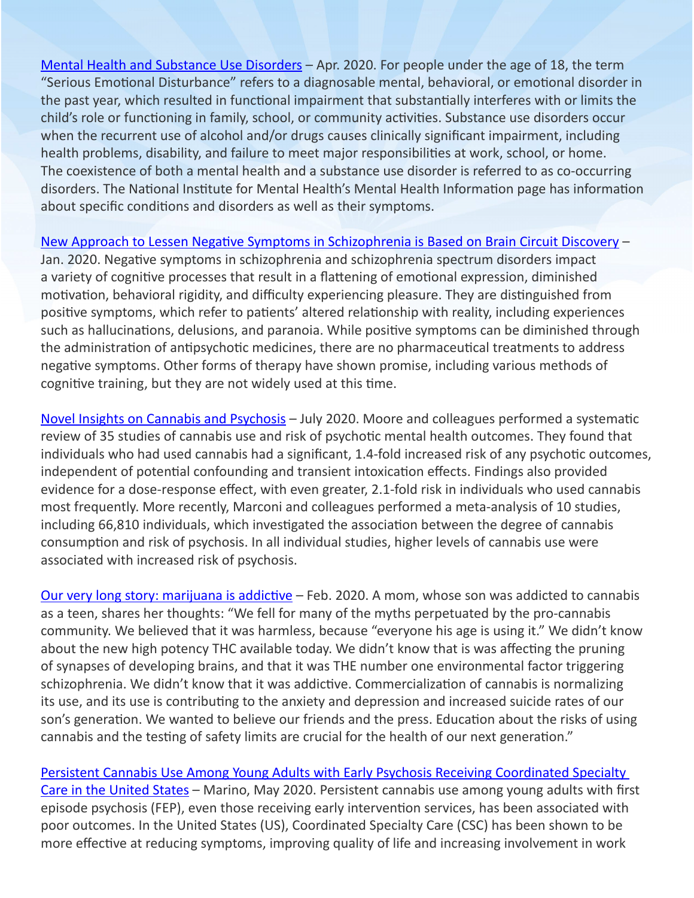[Mental Health and Substance Use Disorders](https://www.samhsa.gov/find-help/disorders) - Apr. 2020. For people under the age of 18, the term "Serious Emotional Disturbance" refers to a diagnosable mental, behavioral, or emotional disorder in the past year, which resulted in functional impairment that substantially interferes with or limits the child's role or functioning in family, school, or community activities. Substance use disorders occur when the recurrent use of alcohol and/or drugs causes clinically significant impairment, including health problems, disability, and failure to meet major responsibilities at work, school, or home. The coexistence of both a mental health and a substance use disorder is referred to as co-occurring disorders. The National Institute for Mental Health's Mental Health Information page has information about specific conditions and disorders as well as their symptoms.

[New Approach to Lessen Negative Symptoms in Schizophrenia is Based on Brain Circuit Discovery](https://www.bbrfoundation.org/content/new-approach-lessen-negative-symptoms-schizophrenia-based-brain-circuit-discovery) –

Jan. 2020. Negative symptoms in schizophrenia and schizophrenia spectrum disorders impact a variety of cognitive processes that result in a flattening of emotional expression, diminished motivation, behavioral rigidity, and difficulty experiencing pleasure. They are distinguished from positive symptoms, which refer to patients' altered relationship with reality, including experiences such as hallucinations, delusions, and paranoia. While positive symptoms can be diminished through the administration of antipsychotic medicines, there are no pharmaceutical treatments to address negative symptoms. Other forms of therapy have shown promise, including various methods of cognitive training, but they are not widely used at this time.

[Novel Insights on Cannabis and Psychosis](https://www.thenmi.org/wp-content/uploads/2020/07/Novel-Insights-on-Cannabis-and-Psychosis.pdf) – July 2020. Moore and colleagues performed a systematic review of 35 studies of cannabis use and risk of psychotic mental health outcomes. They found that individuals who had used cannabis had a significant, 1.4-fold increased risk of any psychotic outcomes, independent of potential confounding and transient intoxication effects. Findings also provided evidence for a dose-response effect, with even greater, 2.1-fold risk in individuals who used cannabis most frequently. More recently, Marconi and colleagues performed a meta-analysis of 10 studies, including 66,810 individuals, which investigated the association between the degree of cannabis consumption and risk of psychosis. In all individual studies, higher levels of cannabis use were associated with increased risk of psychosis.

[Our very long story: marijuana is addictive](http://momsstrong.org/2020/02/28/our-very-long-story/) – Feb. 2020. A mom, whose son was addicted to cannabis as a teen, shares her thoughts: "We fell for many of the myths perpetuated by the pro-cannabis community. We believed that it was harmless, because "everyone his age is using it." We didn't know about the new high potency THC available today. We didn't know that is was affecting the pruning of synapses of developing brains, and that it was THE number one environmental factor triggering schizophrenia. We didn't know that it was addictive. Commercialization of cannabis is normalizing its use, and its use is contributing to the anxiety and depression and increased suicide rates of our son's generation. We wanted to believe our friends and the press. Education about the risks of using cannabis and the testing of safety limits are crucial for the health of our next generation."

[Persistent Cannabis Use Among Young Adults with Early Psychosis Receiving Coordinated Specialty](https://pubmed.ncbi.nlm.nih.gov/32473930/)  [Care in the United States](https://pubmed.ncbi.nlm.nih.gov/32473930/) - Marino, May 2020. Persistent cannabis use among young adults with first episode psychosis (FEP), even those receiving early intervention services, has been associated with poor outcomes. In the United States (US), Coordinated Specialty Care (CSC) has been shown to be more effective at reducing symptoms, improving quality of life and increasing involvement in work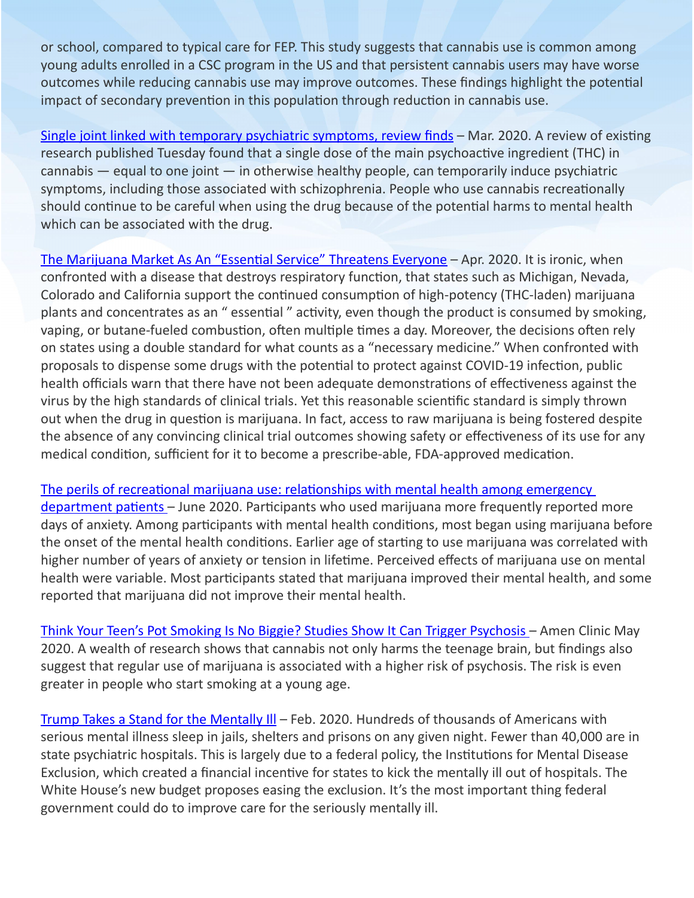or school, compared to typical care for FEP. This study suggests that cannabis use is common among young adults enrolled in a CSC program in the US and that persistent cannabis users may have worse outcomes while reducing cannabis use may improve outcomes. These findings highlight the potential impact of secondary prevention in this population through reduction in cannabis use.

[Single joint linked with temporary psychiatric symptoms, review finds](https://www.cnn.com/2020/03/17/health/cannabis-psychiatric-symptoms-wellness/index.html) - Mar. 2020. A review of existing research published Tuesday found that a single dose of the main psychoactive ingredient (THC) in cannabis — equal to one joint — in otherwise healthy people, can temporarily induce psychiatric symptoms, including those associated with schizophrenia. People who use cannabis recreationally should continue to be careful when using the drug because of the potential harms to mental health which can be associated with the drug.

[The Marijuana Market As An "Essential Service" Threatens Everyone](https://www.hudson.org/research/15989-the-marijuana-market-as-an-essential-service-threatens-everyone) – Apr. 2020. It is ironic, when confronted with a disease that destroys respiratory function, that states such as Michigan, Nevada, Colorado and California support the continued consumption of high-potency (THC-laden) marijuana plants and concentrates as an " essential " activity, even though the product is consumed by smoking, vaping, or butane-fueled combustion, often multiple times a day. Moreover, the decisions often rely on states using a double standard for what counts as a "necessary medicine." When confronted with proposals to dispense some drugs with the potential to protect against COVID-19 infection, public health officials warn that there have not been adequate demonstrations of effectiveness against the virus by the high standards of clinical trials. Yet this reasonable scientific standard is simply thrown out when the drug in question is marijuana. In fact, access to raw marijuana is being fostered despite the absence of any convincing clinical trial outcomes showing safety or effectiveness of its use for any medical condition, sufficient for it to become a prescribe-able, FDA-approved medication.

[The perils of recreational marijuana use: relationships with mental health among emergency](https://pubmed.ncbi.nlm.nih.gov/33000044/)  [department patients](https://pubmed.ncbi.nlm.nih.gov/33000044/) – June 2020. Participants who used marijuana more frequently reported more days of anxiety. Among participants with mental health conditions, most began using marijuana before the onset of the mental health conditions. Earlier age of starting to use marijuana was correlated with higher number of years of anxiety or tension in lifetime. Perceived effects of marijuana use on mental health were variable. Most participants stated that marijuana improved their mental health, and some reported that marijuana did not improve their mental health.

[Think Your Teen's Pot Smoking Is No Biggie? Studies Show It Can Trigger Psychosis](https://www.amenclinics.com/blog/think-your-teens-pot-smoking-is-no-biggie-studies-show-it-can-trigger-psychosis/?trk_msg=I0LB7A1T4TCKF6UCE6AI2P9I2O&trk_contact=7R8K24K4T2OAD04TK2AN88CI88&trk_module=new&trk_sid=FN4C7UEDAMESRL96OEODPA6UDC&utm_source=ACI-Listrak&utm_medium=Email&utm_term=READ+MORE&utm_campaign=Newsletter&utm_content=Blog) – Amen Clinic May 2020. A wealth of research shows that cannabis not only harms the teenage brain, but findings also suggest that regular use of marijuana is associated with a higher risk of psychosis. The risk is even greater in people who start smoking at a young age.

Trump Takes a Stand for the Mentally III - Feb. 2020. Hundreds of thousands of Americans with serious mental illness sleep in jails, shelters and prisons on any given night. Fewer than 40,000 are in state psychiatric hospitals. This is largely due to a federal policy, the Institutions for Mental Disease Exclusion, which created a financial incentive for states to kick the mentally ill out of hospitals. The White House's new budget proposes easing the exclusion. It's the most important thing federal government could do to improve care for the seriously mentally ill.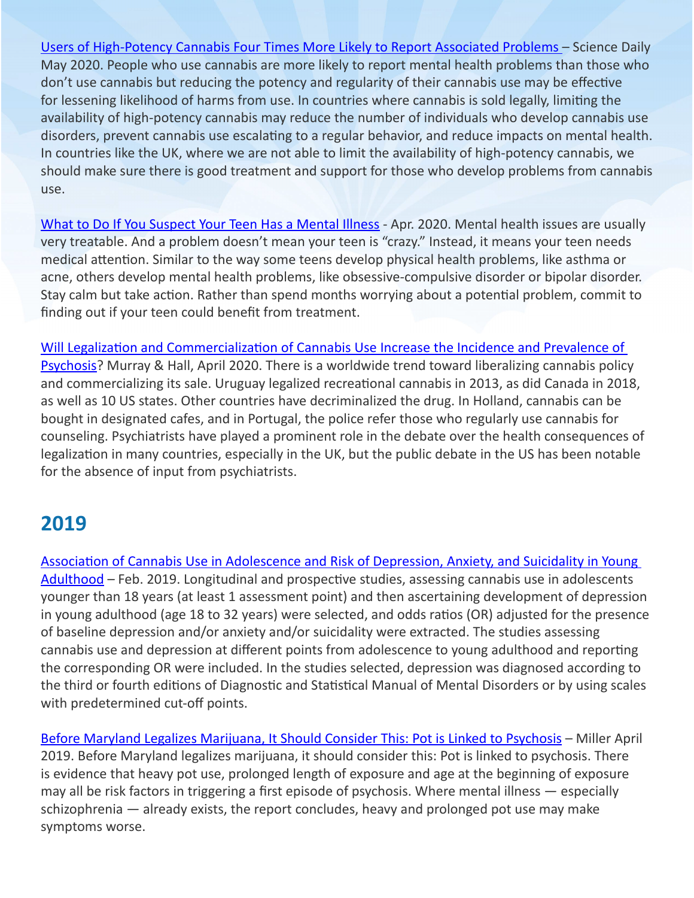[Users of High-Potency Cannabis Four Times More Likely to Report Associated Problems](https://www.sciencedaily.com/releases/2020/05/200528115817.htm) – Science Daily May 2020. People who use cannabis are more likely to report mental health problems than those who don't use cannabis but reducing the potency and regularity of their cannabis use may be effective for lessening likelihood of harms from use. In countries where cannabis is sold legally, limiting the availability of high-potency cannabis may reduce the number of individuals who develop cannabis use disorders, prevent cannabis use escalating to a regular behavior, and reduce impacts on mental health. In countries like the UK, where we are not able to limit the availability of high-potency cannabis, we should make sure there is good treatment and support for those who develop problems from cannabis use.

[What to Do If You Suspect Your Teen Has a Mental Illness](https://www.verywellmind.com/what-to-do-if-you-think-teen-has-a-mental-illness-4109573) - Apr. 2020. Mental health issues are usually very treatable. And a problem doesn't mean your teen is "crazy." Instead, it means your teen needs medical attention. Similar to the way some teens develop physical health problems, like asthma or acne, others develop mental health problems, like obsessive-compulsive disorder or bipolar disorder. Stay calm but take action. Rather than spend months worrying about a potential problem, commit to finding out if your teen could benefit from treatment.

[Will Legalization and Commercialization of Cannabis Use Increase the Incidence and Prevalence of](https://sci-hub.tw/https:/jamanetwork.com/journals/jamapsychiatry/article-abstract/2763798)  [Psychosis](https://sci-hub.tw/https:/jamanetwork.com/journals/jamapsychiatry/article-abstract/2763798)? Murray & Hall, April 2020. There is a worldwide trend toward liberalizing cannabis policy and commercializing its sale. Uruguay legalized recreational cannabis in 2013, as did Canada in 2018, as well as 10 US states. Other countries have decriminalized the drug. In Holland, cannabis can be bought in designated cafes, and in Portugal, the police refer those who regularly use cannabis for counseling. Psychiatrists have played a prominent role in the debate over the health consequences of legalization in many countries, especially in the UK, but the public debate in the US has been notable for the absence of input from psychiatrists.

#### **2019**

[Association of Cannabis Use in Adolescence and Risk of Depression, Anxiety, and Suicidality in Young](https://jamanetwork.com/journals/jamapsychiatry/article-abstract/2723657?fbclid=IwAR0Ibz6iOvUWECX-MQ05_sQ5dlG5zRcS-bScQaq0V3smGuob22eNwLXCu6A)  [Adulthood](https://jamanetwork.com/journals/jamapsychiatry/article-abstract/2723657?fbclid=IwAR0Ibz6iOvUWECX-MQ05_sQ5dlG5zRcS-bScQaq0V3smGuob22eNwLXCu6A) – Feb. 2019. Longitudinal and prospective studies, assessing cannabis use in adolescents younger than 18 years (at least 1 assessment point) and then ascertaining development of depression in young adulthood (age 18 to 32 years) were selected, and odds ratios (OR) adjusted for the presence of baseline depression and/or anxiety and/or suicidality were extracted. The studies assessing cannabis use and depression at different points from adolescence to young adulthood and reporting the corresponding OR were included. In the studies selected, depression was diagnosed according to the third or fourth editions of Diagnostic and Statistical Manual of Mental Disorders or by using scales with predetermined cut-off points.

[Before Maryland Legalizes Marijuana, It Should Consider This: Pot is Linked to Psychosis](https://www.baltimoresun.com/opinion/op-ed/bs-ed-op-0419-marijuana-psychosis-20190415-story.html) – Miller April 2019. Before Maryland legalizes marijuana, it should consider this: Pot is linked to psychosis. There is evidence that heavy pot use, prolonged length of exposure and age at the beginning of exposure may all be risk factors in triggering a first episode of psychosis. Where mental illness — especially schizophrenia — already exists, the report concludes, heavy and prolonged pot use may make symptoms worse.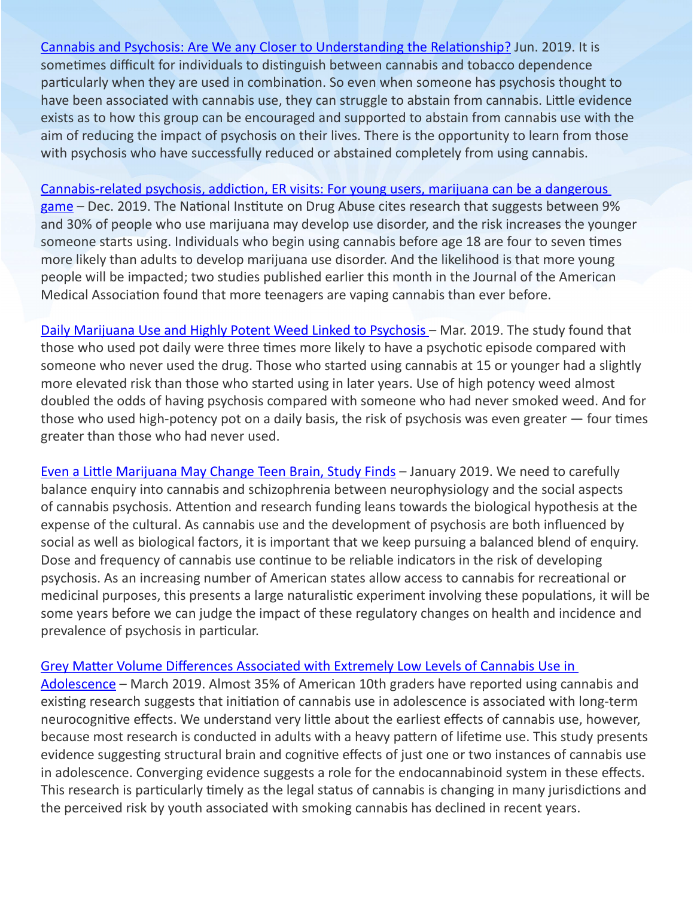[Cannabis and Psychosis: Are We any Closer to Understanding the Relationship?](https://www.ncbi.nlm.nih.gov/pmc/articles/PMC6546656/) Jun. 2019. It is sometimes difficult for individuals to distinguish between cannabis and tobacco dependence particularly when they are used in combination. So even when someone has psychosis thought to have been associated with cannabis use, they can struggle to abstain from cannabis. Little evidence exists as to how this group can be encouraged and supported to abstain from cannabis use with the aim of reducing the impact of psychosis on their lives. There is the opportunity to learn from those with psychosis who have successfully reduced or abstained completely from using cannabis.

[Cannabis-related psychosis, addiction, ER visits: For young users, marijuana can be a dangerous](https://www.inquirer.com/health/marijuana-addiction-adolescents-psychosis-abuse-vaping-penn-state-20191223.html?fbclid=IwAR3JKrdswNlZ44BEPx4pYbai98hAwi7MTLZ3W7prV2c1rvSyiyaVXpl9Sx4)  [game](https://www.inquirer.com/health/marijuana-addiction-adolescents-psychosis-abuse-vaping-penn-state-20191223.html?fbclid=IwAR3JKrdswNlZ44BEPx4pYbai98hAwi7MTLZ3W7prV2c1rvSyiyaVXpl9Sx4) – Dec. 2019. The National Institute on Drug Abuse cites research that suggests between 9% and 30% of people who use marijuana may develop use disorder, and the risk increases the younger someone starts using. Individuals who begin using cannabis before age 18 are four to seven times more likely than adults to develop marijuana use disorder. And the likelihood is that more young people will be impacted; two studies published earlier this month in the Journal of the American Medical Association found that more teenagers are vaping cannabis than ever before.

[Daily Marijuana Use and Highly Potent Weed Linked to Psychosis](https://www.npr.org/sections/health-shots/2019/03/19/704948217/daily-marijuana-use-and-highly-potent-weed-linked-to-psychosis) - Mar. 2019. The study found that those who used pot daily were three times more likely to have a psychotic episode compared with someone who never used the drug. Those who started using cannabis at 15 or younger had a slightly more elevated risk than those who started using in later years. Use of high potency weed almost doubled the odds of having psychosis compared with someone who had never smoked weed. And for those who used high-potency pot on a daily basis, the risk of psychosis was even greater — four times greater than those who had never used.

[Even a Little Marijuana May Change Teen Brain, Study Finds](https://www.nbcnews.com/storyline/legal-pot/even-little-marijuana-may-change-teen-brain-study-finds-n958536) – January 2019. We need to carefully balance enquiry into cannabis and schizophrenia between neurophysiology and the social aspects of cannabis psychosis. Attention and research funding leans towards the biological hypothesis at the expense of the cultural. As cannabis use and the development of psychosis are both influenced by social as well as biological factors, it is important that we keep pursuing a balanced blend of enquiry. Dose and frequency of cannabis use continue to be reliable indicators in the risk of developing psychosis. As an increasing number of American states allow access to cannabis for recreational or medicinal purposes, this presents a large naturalistic experiment involving these populations, it will be some years before we can judge the impact of these regulatory changes on health and incidence and prevalence of psychosis in particular.

#### [Grey Matter Volume Differences Associated with Extremely Low Levels of Cannabis Use in](https://www.jneurosci.org/content/39/10/1817)

[Adolescence](https://www.jneurosci.org/content/39/10/1817) – March 2019. Almost 35% of American 10th graders have reported using cannabis and existing research suggests that initiation of cannabis use in adolescence is associated with long-term neurocognitive effects. We understand very little about the earliest effects of cannabis use, however, because most research is conducted in adults with a heavy pattern of lifetime use. This study presents evidence suggesting structural brain and cognitive effects of just one or two instances of cannabis use in adolescence. Converging evidence suggests a role for the endocannabinoid system in these effects. This research is particularly timely as the legal status of cannabis is changing in many jurisdictions and the perceived risk by youth associated with smoking cannabis has declined in recent years.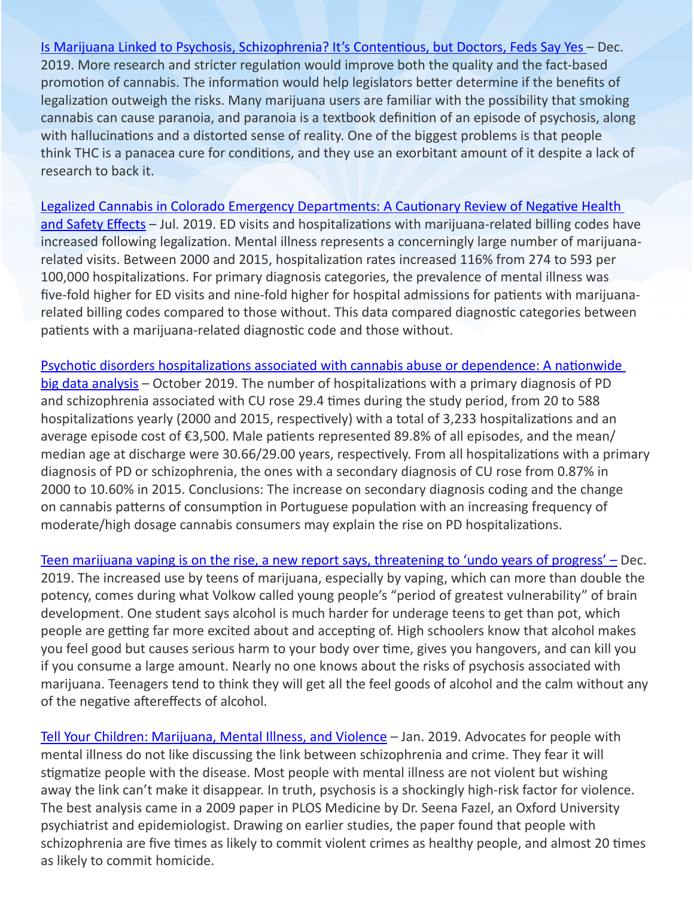[Is Marijuana Linked to Psychosis, Schizophrenia? It's Contentious, but Doctors, Feds Say Yes](https://www.usatoday.com/story/news/nation/2019/12/15/weed-psychosis-high-thc-cause-suicide-schizophrenia/4168315002/) – Dec. 2019. More research and stricter regulation would improve both the quality and the fact-based promotion of cannabis. The information would help legislators better determine if the benefits of legalization outweigh the risks. Many marijuana users are familiar with the possibility that smoking cannabis can cause paranoia, and paranoia is a textbook definition of an episode of psychosis, along with hallucinations and a distorted sense of reality. One of the biggest problems is that people think THC is a panacea cure for conditions, and they use an exorbitant amount of it despite a lack of research to back it.

[Legalized Cannabis in Colorado Emergency Departments: A Cautionary Review of Negative Health](https://www.ncbi.nlm.nih.gov/pmc/articles/PMC6625695/)  [and Safety Effects](https://www.ncbi.nlm.nih.gov/pmc/articles/PMC6625695/) - Jul. 2019. ED visits and hospitalizations with marijuana-related billing codes have increased following legalization. Mental illness represents a concerningly large number of marijuanarelated visits. Between 2000 and 2015, hospitalization rates increased 116% from 274 to 593 per 100,000 hospitalizations. For primary diagnosis categories, the prevalence of mental illness was five-fold higher for ED visits and nine-fold higher for hospital admissions for patients with marijuanarelated billing codes compared to those without. This data compared diagnostic categories between patients with a marijuana-related diagnostic code and those without.

[Psychotic disorders hospitalizations associated with cannabis abuse or dependence: A nationwide](https://sci-hub.se/https:/pubmed.ncbi.nlm.nih.gov/31808250/)  [big data analysis](https://sci-hub.se/https:/pubmed.ncbi.nlm.nih.gov/31808250/) – October 2019. The number of hospitalizations with a primary diagnosis of PD and schizophrenia associated with CU rose 29.4 times during the study period, from 20 to 588 hospitalizations yearly (2000 and 2015, respectively) with a total of 3,233 hospitalizations and an average episode cost of €3,500. Male patients represented 89.8% of all episodes, and the mean/ median age at discharge were 30.66/29.00 years, respectively. From all hospitalizations with a primary diagnosis of PD or schizophrenia, the ones with a secondary diagnosis of CU rose from 0.87% in 2000 to 10.60% in 2015. Conclusions: The increase on secondary diagnosis coding and the change on cannabis patterns of consumption in Portuguese population with an increasing frequency of moderate/high dosage cannabis consumers may explain the rise on PD hospitalizations.

[Teen marijuana vaping is on the rise, a new report says, threatening to 'undo years of progress'](https://www.usatoday.com/story/news/health/2019/12/18/teen-marijuana-vaping-drinking-lung-illness-psychosis/2671120001/) – Dec. 2019. The increased use by teens of marijuana, especially by vaping, which can more than double the potency, comes during what Volkow called young people's "period of greatest vulnerability" of brain development. One student says alcohol is much harder for underage teens to get than pot, which people are getting far more excited about and accepting of. High schoolers know that alcohol makes you feel good but causes serious harm to your body over time, gives you hangovers, and can kill you if you consume a large amount. Nearly no one knows about the risks of psychosis associated with marijuana. Teenagers tend to think they will get all the feel goods of alcohol and the calm without any of the negative aftereffects of alcohol.

[Tell Your Children: Marijuana, Mental Illness, and Violence](https://imprimis.hillsdale.edu/marijuana-mental-illness-violence/?utm_source=facebook&utm_medium=paid&utm_campaign=%7B%7Bad.name%7D%7D&fbclid=IwAR35hfqlyrB8akyZ0Zqta93MHkr3k_4T8bJU3wihFHxj_5fqtRIixa_0F2c) – Jan. 2019. Advocates for people with mental illness do not like discussing the link between schizophrenia and crime. They fear it will stigmatize people with the disease. Most people with mental illness are not violent but wishing away the link can't make it disappear. In truth, psychosis is a shockingly high-risk factor for violence. The best analysis came in a 2009 paper in PLOS Medicine by Dr. Seena Fazel, an Oxford University psychiatrist and epidemiologist. Drawing on earlier studies, the paper found that people with schizophrenia are five times as likely to commit violent crimes as healthy people, and almost 20 times as likely to commit homicide.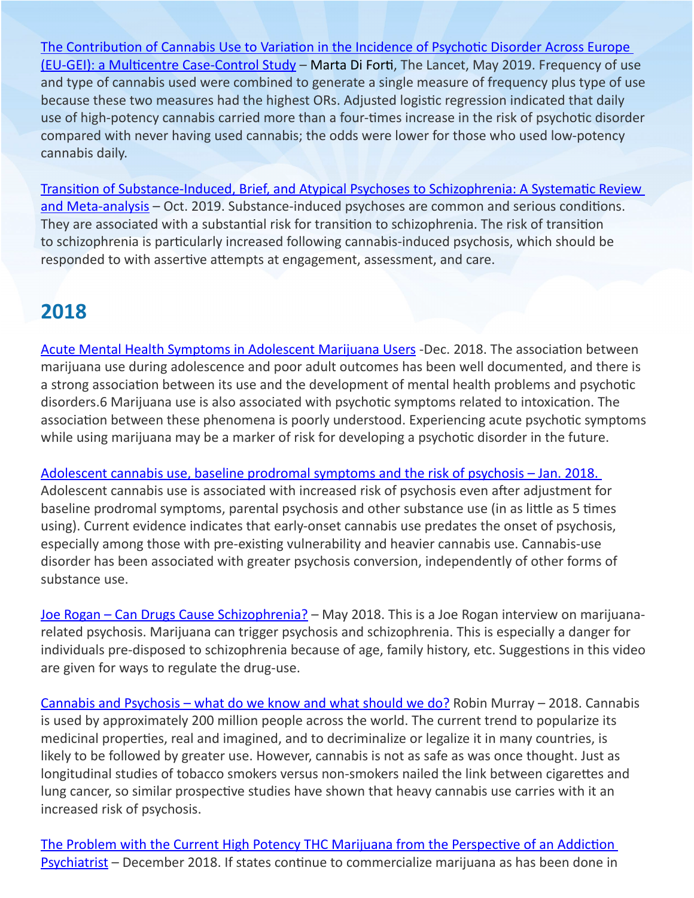[The Contribution of Cannabis Use to Variation in the Incidence of Psychotic Disorder Across Europe](https://www.thelancet.com/journals/lanpsy/article/PIIS2215-0366(19)30048-3/fulltext?fbclid=IwAR2CpPQ5F2FDtbEC-ziL1xZG277xuhj5GY8QqvTlwmAOa41q6hQoWlruNs0)  [\(EU-GEI\): a Multicentre Case-Control Study](https://www.thelancet.com/journals/lanpsy/article/PIIS2215-0366(19)30048-3/fulltext?fbclid=IwAR2CpPQ5F2FDtbEC-ziL1xZG277xuhj5GY8QqvTlwmAOa41q6hQoWlruNs0) – Marta Di Forti, The Lancet, May 2019. Frequency of use and type of cannabis used were combined to generate a single measure of frequency plus type of use because these two measures had the highest ORs. Adjusted logistic regression indicated that daily use of high-potency cannabis carried more than a four-times increase in the risk of psychotic disorder compared with never having used cannabis; the odds were lower for those who used low-potency cannabis daily.

[Transition of Substance-Induced, Brief, and Atypical Psychoses to Schizophrenia: A Systematic Review](https://academic.oup.com/schizophreniabulletin/article/46/3/505/5588638)  [and Meta-analysis](https://academic.oup.com/schizophreniabulletin/article/46/3/505/5588638) – Oct. 2019. Substance-induced psychoses are common and serious conditions. They are associated with a substantial risk for transition to schizophrenia. The risk of transition to schizophrenia is particularly increased following cannabis-induced psychosis, which should be responded to with assertive attempts at engagement, assessment, and care.

#### **2018**

[Acute Mental Health Symptoms in Adolescent Marijuana Users](https://jamanetwork.com/journals/jamapediatrics/fullarticle/2717776) -Dec. 2018. The association between marijuana use during adolescence and poor adult outcomes has been well documented, and there is a strong association between its use and the development of mental health problems and psychotic disorders.6 Marijuana use is also associated with psychotic symptoms related to intoxication. The association between these phenomena is poorly understood. Experiencing acute psychotic symptoms while using marijuana may be a marker of risk for developing a psychotic disorder in the future.

[Adolescent cannabis use, baseline prodromal symptoms and the risk of psychosis](https://www.cambridge.org/core/services/aop-cambridge-core/content/view/D5CAA12A5F424146DABB9C6A6AB4CB56/S0007125017000526a.pdf/adolescent_cannabis_use_baseline_prodromal_symptoms_and_the_risk_of_psychosis.pdf) – Jan. 2018. Adolescent cannabis use is associated with increased risk of psychosis even after adjustment for baseline prodromal symptoms, parental psychosis and other substance use (in as little as 5 times using). Current evidence indicates that early-onset cannabis use predates the onset of psychosis, especially among those with pre-existing vulnerability and heavier cannabis use. Cannabis-use disorder has been associated with greater psychosis conversion, independently of other forms of substance use.

[Joe Rogan – Can Drugs Cause Schizophrenia?](https://www.youtube.com/watch?v=6LqgmcbiMBA&feature=youtu.be&fbclid=IwAR1iC9WnVuk_YMTqeb_5B55Z4s-nuotCIvqFdMOjv2p3LRUlyBwFDn9wcR8) – May 2018. This is a Joe Rogan interview on marijuanarelated psychosis. Marijuana can trigger psychosis and schizophrenia. This is especially a danger for individuals pre-disposed to schizophrenia because of age, family history, etc. Suggestions in this video are given for ways to regulate the drug-use.

[Cannabis and Psychosis – what do we know and what should we do?](https://www.researchgate.net/publication/323899315_Cannabis_and_psychosis_What_do_we_know_and_what_should_we_do) Robin Murray – 2018. Cannabis is used by approximately 200 million people across the world. The current trend to popularize its medicinal properties, real and imagined, and to decriminalize or legalize it in many countries, is likely to be followed by greater use. However, cannabis is not as safe as was once thought. Just as longitudinal studies of tobacco smokers versus non-smokers nailed the link between cigarettes and lung cancer, so similar prospective studies have shown that heavy cannabis use carries with it an increased risk of psychosis.

[The Problem with the Current High Potency THC Marijuana from the Perspective of an Addiction](https://www.ncbi.nlm.nih.gov/pmc/articles/PMC6312155/)  [Psychiatrist](https://www.ncbi.nlm.nih.gov/pmc/articles/PMC6312155/) – December 2018. If states continue to commercialize marijuana as has been done in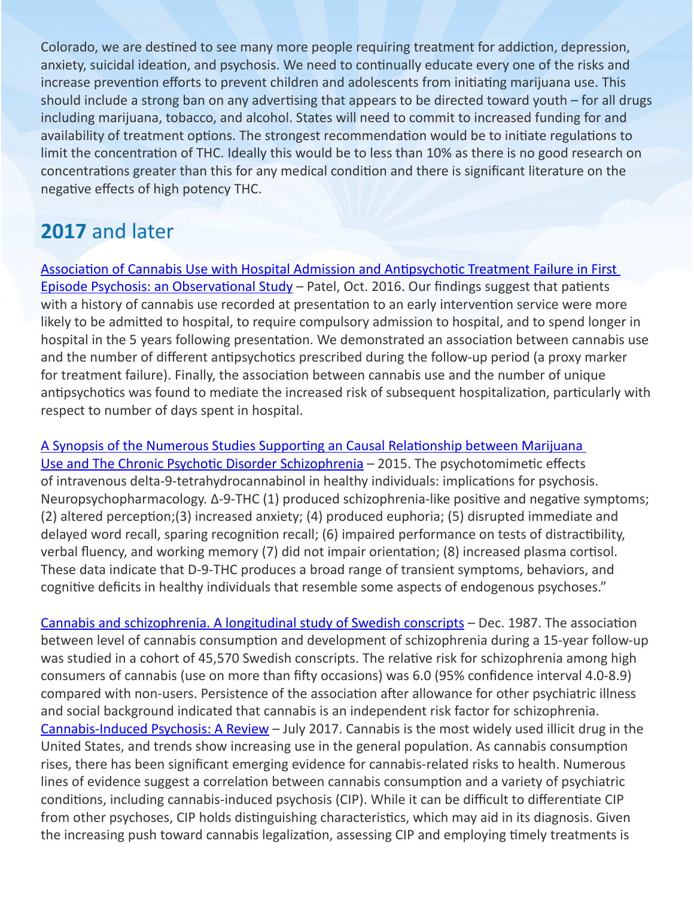Colorado, we are destined to see many more people requiring treatment for addiction, depression, anxiety, suicidal ideation, and psychosis. We need to continually educate every one of the risks and increase prevention efforts to prevent children and adolescents from initiating marijuana use. This should include a strong ban on any advertising that appears to be directed toward youth – for all drugs including marijuana, tobacco, and alcohol. States will need to commit to increased funding for and availability of treatment options. The strongest recommendation would be to initiate regulations to limit the concentration of THC. Ideally this would be to less than 10% as there is no good research on concentrations greater than this for any medical condition and there is significant literature on the negative effects of high potency THC.

## **2017** and later

[Association of Cannabis Use with Hospital Admission and Antipsychotic Treatment Failure in First](https://bmjopen.bmj.com/content/6/3/e009888)  [Episode Psychosis: an Observational Study](https://bmjopen.bmj.com/content/6/3/e009888) – Patel, Oct. 2016. Our findings suggest that patients with a history of cannabis use recorded at presentation to an early intervention service were more likely to be admitted to hospital, to require compulsory admission to hospital, and to spend longer in hospital in the 5 years following presentation. We demonstrated an association between cannabis use and the number of different antipsychotics prescribed during the follow-up period (a proxy marker for treatment failure). Finally, the association between cannabis use and the number of unique antipsychotics was found to mediate the increased risk of subsequent hospitalization, particularly with respect to number of days spent in hospital.

[A Synopsis of the Numerous Studies Supporting an Causal Relationship between Marijuana](http://momsstrong.org/wordpress/wp-content/uploads/2016/01/Summary-of-literature-on-marijuana-and-psychosis.pdf?fbclid=IwAR0HH7jxhW0D-SM6jZexsJmI0JffK3U_Et9v5W4fk3Ud2l3OWmKAXiO18ZM)  [Use and The Chronic Psychotic Disorder Schizophrenia](http://momsstrong.org/wordpress/wp-content/uploads/2016/01/Summary-of-literature-on-marijuana-and-psychosis.pdf?fbclid=IwAR0HH7jxhW0D-SM6jZexsJmI0JffK3U_Et9v5W4fk3Ud2l3OWmKAXiO18ZM) – 2015. The psychotomimetic effects of intravenous delta-9-tetrahydrocannabinol in healthy individuals: implications for psychosis. Neuropsychopharmacology. ∆-9-THC (1) produced schizophrenia-like positive and negative symptoms; (2) altered perception;(3) increased anxiety; (4) produced euphoria; (5) disrupted immediate and delayed word recall, sparing recognition recall; (6) impaired performance on tests of distractibility, verbal fluency, and working memory (7) did not impair orientation; (8) increased plasma cortisol. These data indicate that D-9-THC produces a broad range of transient symptoms, behaviors, and cognitive deficits in healthy individuals that resemble some aspects of endogenous psychoses."

[Cannabis and schizophrenia. A longitudinal study of Swedish conscripts](https://www.ncbi.nlm.nih.gov/pubmed/2892048?dopt=Abstract) – Dec. 1987. The association between level of cannabis consumption and development of schizophrenia during a 15-year follow-up was studied in a cohort of 45,570 Swedish conscripts. The relative risk for schizophrenia among high consumers of cannabis (use on more than fifty occasions) was 6.0 (95% confidence interval 4.0-8.9) compared with non-users. Persistence of the association after allowance for other psychiatric illness and social background indicated that cannabis is an independent risk factor for schizophrenia. [Cannabis-Induced Psychosis: A Review](https://www.psychiatrictimes.com/view/cannabis-induced-psychosis-review?fbclid=IwAR3Fql7mnyhsHmCLxY8YSApE7m_bzHeuPwqPdept-vklnkjjbSMXxmdHZ4E) – July 2017. Cannabis is the most widely used illicit drug in the United States, and trends show increasing use in the general population. As cannabis consumption rises, there has been significant emerging evidence for cannabis-related risks to health. Numerous lines of evidence suggest a correlation between cannabis consumption and a variety of psychiatric conditions, including cannabis-induced psychosis (CIP). While it can be difficult to differentiate CIP from other psychoses, CIP holds distinguishing characteristics, which may aid in its diagnosis. Given the increasing push toward cannabis legalization, assessing CIP and employing timely treatments is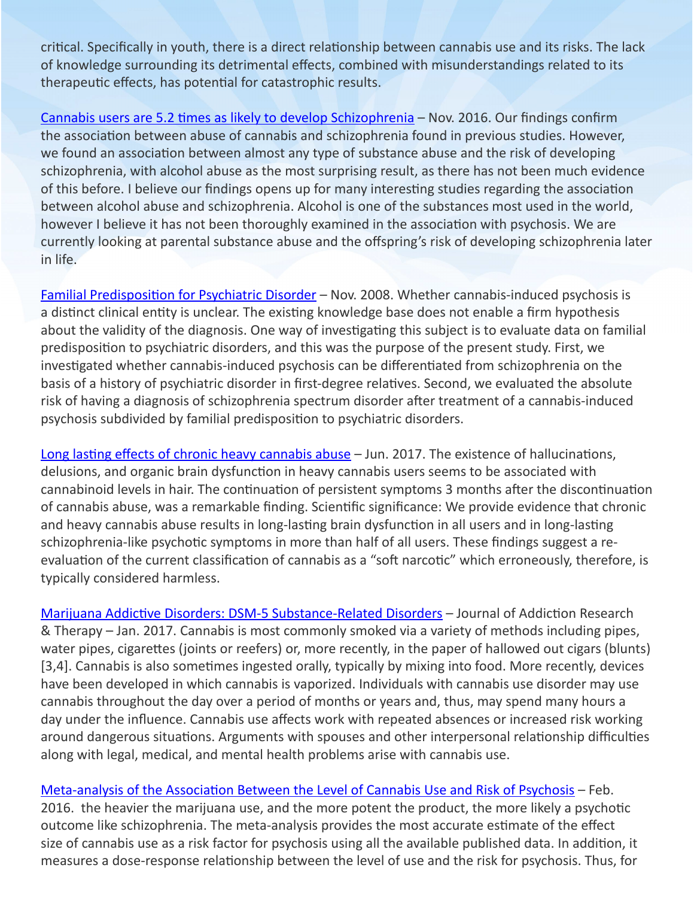critical. Specifically in youth, there is a direct relationship between cannabis use and its risks. The lack of knowledge surrounding its detrimental effects, combined with misunderstandings related to its therapeutic effects, has potential for catastrophic results.

[Cannabis users are 5.2 times as likely to develop Schizophrenia](http://schizophrenia.com/?p=793) – Nov. 2016. Our findings confirm the association between abuse of cannabis and schizophrenia found in previous studies. However, we found an association between almost any type of substance abuse and the risk of developing schizophrenia, with alcohol abuse as the most surprising result, as there has not been much evidence of this before. I believe our findings opens up for many interesting studies regarding the association between alcohol abuse and schizophrenia. Alcohol is one of the substances most used in the world, however I believe it has not been thoroughly examined in the association with psychosis. We are currently looking at parental substance abuse and the offspring's risk of developing schizophrenia later in life.

[Familial Predisposition for Psychiatric Disorder](https://jamanetwork.com/journals/jamapsychiatry/fullarticle/482877) – Nov. 2008. Whether cannabis-induced psychosis is a distinct clinical entity is unclear. The existing knowledge base does not enable a firm hypothesis about the validity of the diagnosis. One way of investigating this subject is to evaluate data on familial predisposition to psychiatric disorders, and this was the purpose of the present study. First, we investigated whether cannabis-induced psychosis can be differentiated from schizophrenia on the basis of a history of psychiatric disorder in first-degree relatives. Second, we evaluated the absolute risk of having a diagnosis of schizophrenia spectrum disorder after treatment of a cannabis-induced psychosis subdivided by familial predisposition to psychiatric disorders.

[Long lasting effects of chronic heavy cannabis abuse](https://www.ncbi.nlm.nih.gov/pubmed/28314070) – Jun. 2017. The existence of hallucinations, delusions, and organic brain dysfunction in heavy cannabis users seems to be associated with cannabinoid levels in hair. The continuation of persistent symptoms 3 months after the discontinuation of cannabis abuse, was a remarkable finding. Scientific significance: We provide evidence that chronic and heavy cannabis abuse results in long-lasting brain dysfunction in all users and in long-lasting schizophrenia-like psychotic symptoms in more than half of all users. These findings suggest a reevaluation of the current classification of cannabis as a "soft narcotic" which erroneously, therefore, is typically considered harmless.

[Marijuana Addictive Disorders: DSM-5 Substance-Related Disorders](https://www.omicsonline.org/open-access/marijuana-addictive-disorders-and-dsm5-substancerelated-disorders-2155-6105-S11-013.php?aid=84734) – Journal of Addiction Research & Therapy – Jan. 2017. Cannabis is most commonly smoked via a variety of methods including pipes, water pipes, cigarettes (joints or reefers) or, more recently, in the paper of hallowed out cigars (blunts) [3,4]. Cannabis is also sometimes ingested orally, typically by mixing into food. More recently, devices have been developed in which cannabis is vaporized. Individuals with cannabis use disorder may use cannabis throughout the day over a period of months or years and, thus, may spend many hours a day under the influence. Cannabis use affects work with repeated absences or increased risk working around dangerous situations. Arguments with spouses and other interpersonal relationship difficulties along with legal, medical, and mental health problems arise with cannabis use.

[Meta-analysis of the Association Between the Level of Cannabis Use and Risk of Psychosis](https://www.ncbi.nlm.nih.gov/pmc/articles/PMC4988731/) – Feb. 2016. the heavier the marijuana use, and the more potent the product, the more likely a psychotic outcome like schizophrenia. The meta-analysis provides the most accurate estimate of the effect size of cannabis use as a risk factor for psychosis using all the available published data. In addition, it measures a dose-response relationship between the level of use and the risk for psychosis. Thus, for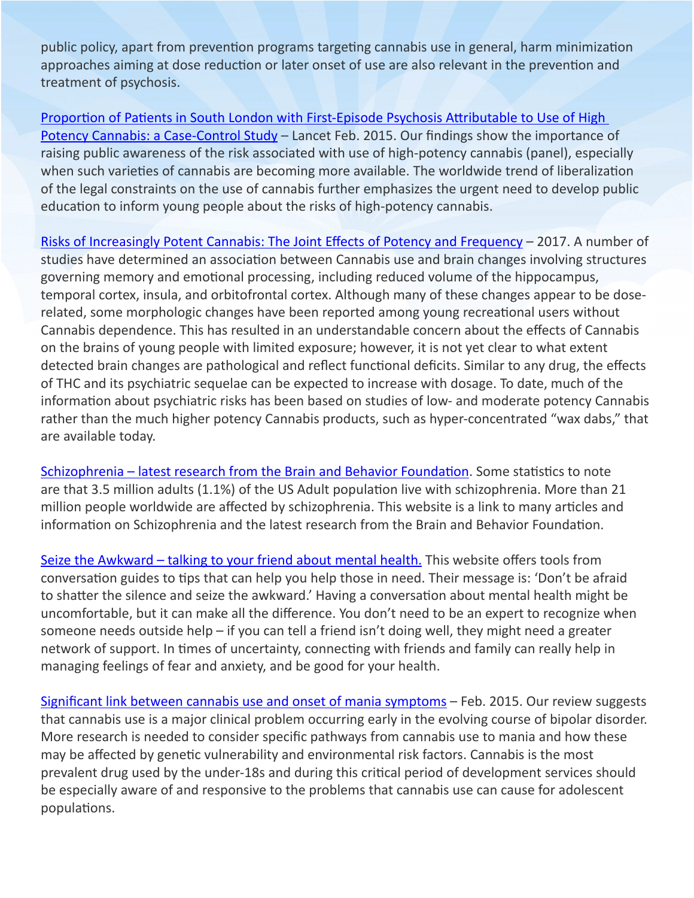public policy, apart from prevention programs targeting cannabis use in general, harm minimization approaches aiming at dose reduction or later onset of use are also relevant in the prevention and treatment of psychosis.

[Proportion of Patients in South London with First-Episode Psychosis Attributable to Use of High](https://www.thelancet.com/journals/lanpsy/article/PIIS2215-0366(14)00117-5/fulltext)  [Potency Cannabis: a Case-Control Study](https://www.thelancet.com/journals/lanpsy/article/PIIS2215-0366(14)00117-5/fulltext) – Lancet Feb. 2015. Our findings show the importance of raising public awareness of the risk associated with use of high-potency cannabis (panel), especially when such varieties of cannabis are becoming more available. The worldwide trend of liberalization of the legal constraints on the use of cannabis further emphasizes the urgent need to develop public education to inform young people about the risks of high-potency cannabis.

[Risks of Increasingly Potent Cannabis: The Joint Effects of Potency and Frequency](https://mdedge-files-live.s3.us-east-2.amazonaws.com/files/s3fs-public/CP01602014.PDF) - 2017. A number of studies have determined an association between Cannabis use and brain changes involving structures governing memory and emotional processing, including reduced volume of the hippocampus, temporal cortex, insula, and orbitofrontal cortex. Although many of these changes appear to be doserelated, some morphologic changes have been reported among young recreational users without Cannabis dependence. This has resulted in an understandable concern about the effects of Cannabis on the brains of young people with limited exposure; however, it is not yet clear to what extent detected brain changes are pathological and reflect functional deficits. Similar to any drug, the effects of THC and its psychiatric sequelae can be expected to increase with dosage. To date, much of the information about psychiatric risks has been based on studies of low- and moderate potency Cannabis rather than the much higher potency Cannabis products, such as hyper-concentrated "wax dabs," that are available today.

[Schizophrenia – latest research from the Brain and Behavior Foundation](https://www.bbrfoundation.org/research/schizophrenia?utm_source=eNews+List&utm_campaign=6846b1d919-schizophrenia_interest_automation_eblast&utm_medium=email&utm_term=0_fb7d503c0e-6846b1d919-162424386&goal=0_fb7d503c0e-6846b1d919-162424386). Some statistics to note are that 3.5 million adults (1.1%) of the US Adult population live with schizophrenia. More than 21 million people worldwide are affected by schizophrenia. This website is a link to many articles and information on Schizophrenia and the latest research from the Brain and Behavior Foundation.

[Seize the Awkward – talking to your friend about mental health](https://seizetheawkward.org/#signs-of-mental-health-issues). This website offers tools from conversation guides to tips that can help you help those in need. Their message is: 'Don't be afraid to shatter the silence and seize the awkward.' Having a conversation about mental health might be uncomfortable, but it can make all the difference. You don't need to be an expert to recognize when someone needs outside help – if you can tell a friend isn't doing well, they might need a greater network of support. In times of uncertainty, connecting with friends and family can really help in managing feelings of fear and anxiety, and be good for your health.

[Significant link between cannabis use and onset of mania symptoms](https://www.sciencedaily.com/releases/2015/02/150210160101.htm?fbclid=IwAR0-dxGnI4BwS6Qod8Sw3b9e8bwNt6QbHWEr-4asraY-CrJBRsQ_8P6P16k) – Feb. 2015. Our review suggests that cannabis use is a major clinical problem occurring early in the evolving course of bipolar disorder. More research is needed to consider specific pathways from cannabis use to mania and how these may be affected by genetic vulnerability and environmental risk factors. Cannabis is the most prevalent drug used by the under-18s and during this critical period of development services should be especially aware of and responsive to the problems that cannabis use can cause for adolescent populations.